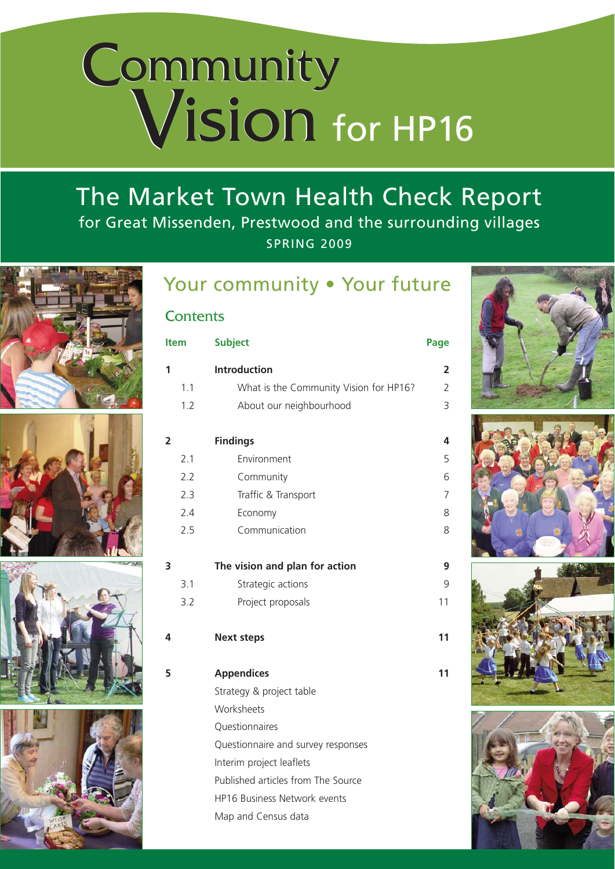# Community Vision **Community** Vision for HP16

## The Market Town Health Check Report for Great Missenden, Prestwood and the surrounding villages SPRING 2009









## Your community . Your future

## **Contents**

| <b>Item</b>             |     | <b>Subject</b>                         | Page                    |
|-------------------------|-----|----------------------------------------|-------------------------|
| 1                       |     | <b>Introduction</b>                    | $\overline{\mathbf{c}}$ |
|                         | 1.1 | What is the Community Vision for HP16? | $\overline{2}$          |
|                         | 1.2 | About our neighbourhood                | 3                       |
| $\overline{\mathbf{2}}$ |     | <b>Findings</b>                        | 4                       |
|                         | 2.1 | Environment                            | 5                       |
|                         | 2.2 | Community                              | 6                       |
|                         | 2.3 | Traffic & Transport                    | 7                       |
|                         | 2.4 | Economy                                | 8                       |
|                         | 2.5 | Communication                          | 8                       |
| 3                       |     | The vision and plan for action         |                         |
|                         | 3.1 | Strategic actions                      | 9                       |
|                         | 3.2 | Project proposals                      | 11                      |
| 4                       |     | <b>Next steps</b>                      | 11                      |
| 5                       |     | <b>Appendices</b>                      | 11                      |
|                         |     | Strategy & project table               |                         |
|                         |     | Worksheets                             |                         |
|                         |     | Questionnaires                         |                         |
|                         |     | Questionnaire and survey responses     |                         |
|                         |     | Interim project leaflets               |                         |
|                         |     | Published articles from The Source     |                         |
|                         |     | HP16 Business Network events           |                         |
|                         |     | Map and Census data                    |                         |
|                         |     |                                        |                         |



*The Future of Your Neighbourhood*





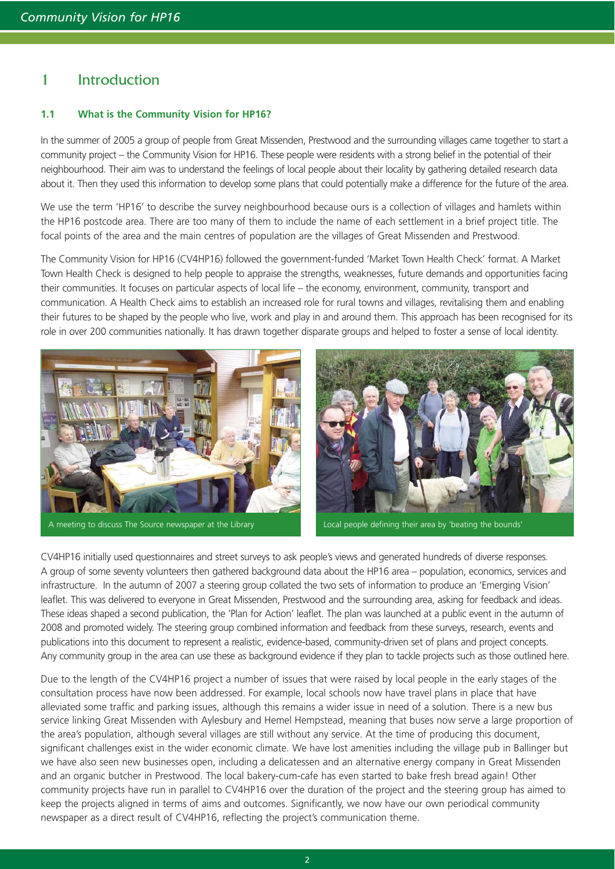## 1 Introduction

### **1.1 What is the Community Vision for HP16?**

In the summer of 2005 a group of people from Great Missenden, Prestwood and the surrounding villages came together to start a community project – the Community Vision for HP16. These people were residents with a strong belief in the potential of their neighbourhood. Their aim was to understand the feelings of local people about their locality by gathering detailed research data about it. Then they used this information to develop some plans that could potentially make a difference for the future of the area.

We use the term 'HP16' to describe the survey neighbourhood because ours is a collection of villages and hamlets within the HP16 postcode area. There are too many of them to include the name of each settlement in a brief project title. The focal points of the area and the main centres of population are the villages of Great Missenden and Prestwood.

The Community Vision for HP16 (CV4HP16) followed the government-funded 'Market Town Health Check' format. A Market Town Health Check is designed to help people to appraise the strengths, weaknesses, future demands and opportunities facing their communities. It focuses on particular aspects of local life – the economy, environment, community, transport and communication. A Health Check aims to establish an increased role for rural towns and villages, revitalising them and enabling their futures to be shaped by the people who live, work and play in and around them. This approach has been recognised for its role in over 200 communities nationally. It has drawn together disparate groups and helped to foster a sense of local identity.



A meeting to discuss The Source newspaper at the Library Local people defining their area by 'beating the bounds'



CV4HP16 initially used questionnaires and street surveys to ask people's views and generated hundreds of diverse responses. A group of some seventy volunteers then gathered background data about the HP16 area – population, economics, services and infrastructure. In the autumn of 2007 a steering group collated the two sets of information to produce an 'Emerging Vision' leaflet. This was delivered to everyone in Great Missenden, Prestwood and the surrounding area, asking for feedback and ideas. These ideas shaped a second publication, the 'Plan for Action' leaflet. The plan was launched at a public event in the autumn of 2008 and promoted widely. The steering group combined information and feedback from these surveys, research, events and publications into this document to represent a realistic, evidence-based, community-driven set of plans and project concepts. Any community group in the area can use these as background evidence if they plan to tackle projects such as those outlined here.

Due to the length of the CV4HP16 project a number of issues that were raised by local people in the early stages of the consultation process have now been addressed. For example, local schools now have travel plans in place that have alleviated some traffic and parking issues, although this remains a wider issue in need of a solution. There is a new bus service linking Great Missenden with Aylesbury and Hemel Hempstead, meaning that buses now serve a large proportion of the area's population, although several villages are still without any service. At the time of producing this document, significant challenges exist in the wider economic climate. We have lost amenities including the village pub in Ballinger but we have also seen new businesses open, including a delicatessen and an alternative energy company in Great Missenden and an organic butcher in Prestwood. The local bakery-cum-cafe has even started to bake fresh bread again! Other community projects have run in parallel to CV4HP16 over the duration of the project and the steering group has aimed to keep the projects aligned in terms of aims and outcomes. Significantly, we now have our own periodical community newspaper as a direct result of CV4HP16, reflecting the project's communication theme.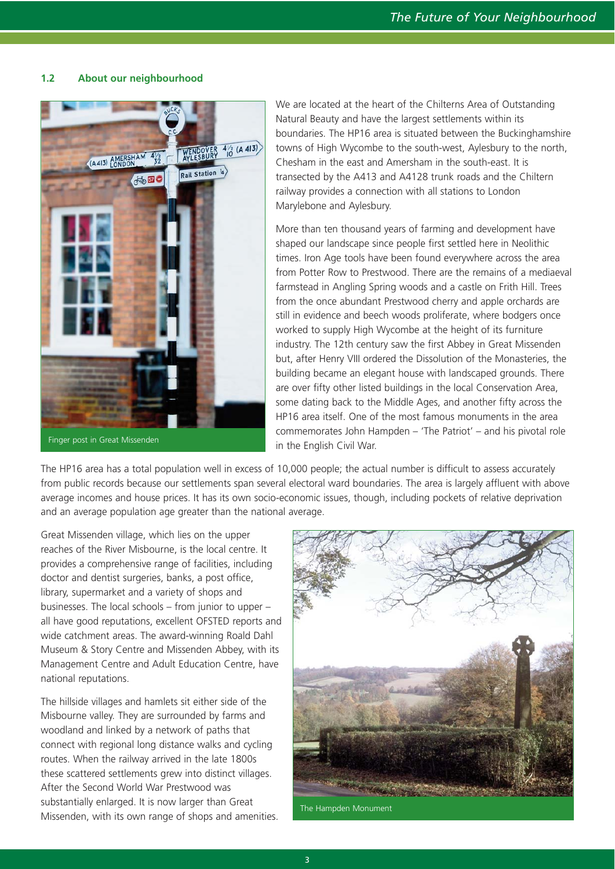## **1.2 About our neighbourhood**



Finger post in Great Missenden

We are located at the heart of the Chilterns Area of Outstanding Natural Beauty and have the largest settlements within its boundaries. The HP16 area is situated between the Buckinghamshire towns of High Wycombe to the south-west, Aylesbury to the north, Chesham in the east and Amersham in the south-east. It is transected by the A413 and A4128 trunk roads and the Chiltern railway provides a connection with all stations to London Marylebone and Aylesbury.

More than ten thousand years of farming and development have shaped our landscape since people first settled here in Neolithic times. Iron Age tools have been found everywhere across the area from Potter Row to Prestwood. There are the remains of a mediaeval farmstead in Angling Spring woods and a castle on Frith Hill. Trees from the once abundant Prestwood cherry and apple orchards are still in evidence and beech woods proliferate, where bodgers once worked to supply High Wycombe at the height of its furniture industry. The 12th century saw the first Abbey in Great Missenden but, after Henry VIII ordered the Dissolution of the Monasteries, the building became an elegant house with landscaped grounds. There are over fifty other listed buildings in the local Conservation Area, some dating back to the Middle Ages, and another fifty across the HP16 area itself. One of the most famous monuments in the area commemorates John Hampden – 'The Patriot' – and his pivotal role in the English Civil War.

The HP16 area has a total population well in excess of 10,000 people; the actual number is difficult to assess accurately from public records because our settlements span several electoral ward boundaries. The area is largely affluent with above average incomes and house prices. It has its own socio-economic issues, though, including pockets of relative deprivation and an average population age greater than the national average.

Great Missenden village, which lies on the upper reaches of the River Misbourne, is the local centre. It provides a comprehensive range of facilities, including doctor and dentist surgeries, banks, a post office, library, supermarket and a variety of shops and businesses. The local schools – from junior to upper – all have good reputations, excellent OFSTED reports and wide catchment areas. The award-winning Roald Dahl Museum & Story Centre and Missenden Abbey, with its Management Centre and Adult Education Centre, have national reputations.

The hillside villages and hamlets sit either side of the Misbourne valley. They are surrounded by farms and woodland and linked by a network of paths that connect with regional long distance walks and cycling routes. When the railway arrived in the late 1800s these scattered settlements grew into distinct villages. After the Second World War Prestwood was substantially enlarged. It is now larger than Great Missenden, with its own range of shops and amenities.



The Hampden Monument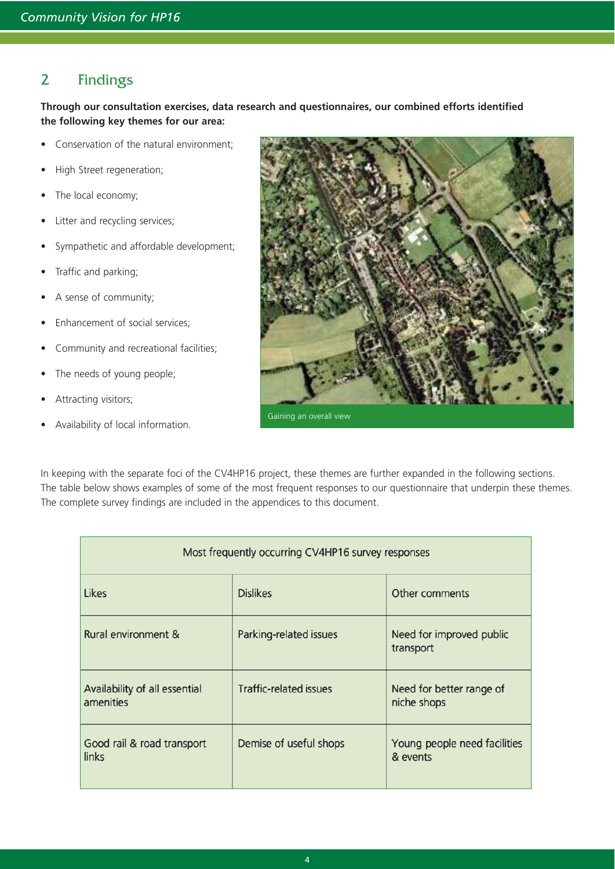## 2 Findings

**Through our consultation exercises, data research and questionnaires, our combined efforts identified the following key themes for our area:**

- Conservation of the natural environment;
- High Street regeneration;
- The local economy;
- Litter and recycling services;
- Sympathetic and affordable development;
- Traffic and parking;
- A sense of community;
- Enhancement of social services;
- Community and recreational facilities;
- The needs of young people;
- Attracting visitors;
- Availability of local information.



In keeping with the separate foci of the CV4HP16 project, these themes are further expanded in the following sections. The table below shows examples of some of the most frequent responses to our questionnaire that underpin these themes. The complete survey findings are included in the appendices to this document.

| Most frequently occurring CV4HP16 survey responses |                               |                                          |  |  |  |
|----------------------------------------------------|-------------------------------|------------------------------------------|--|--|--|
| Likes                                              | <b>Dislikes</b>               | Other comments                           |  |  |  |
| Rural environment &                                | Parking-related issues        | Need for improved public<br>transport    |  |  |  |
| Availability of all essential<br>amenities         | <b>Traffic-related issues</b> | Need for better range of<br>niche shops  |  |  |  |
| Good rail & road transport<br>links                | Demise of useful shops        | Young people need facilities<br>& events |  |  |  |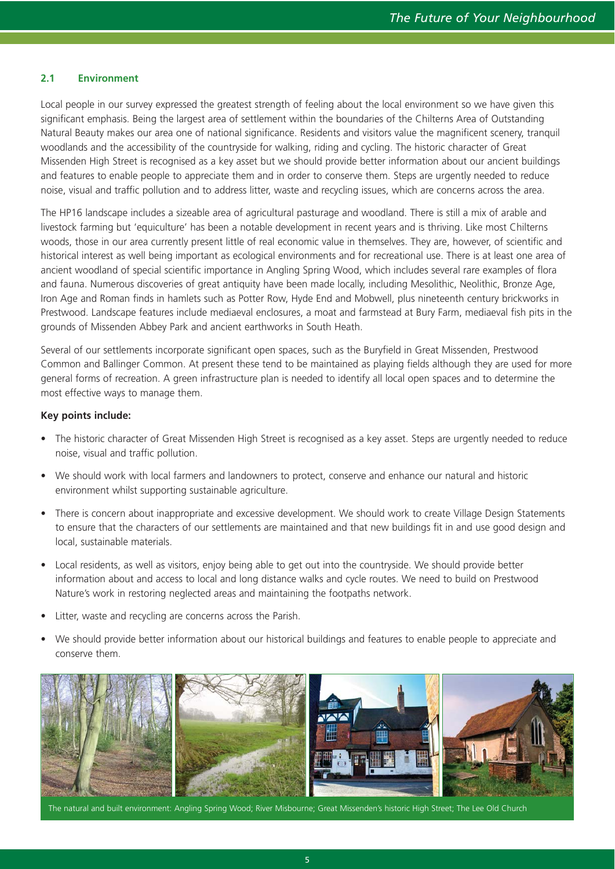## **2.1 Environment**

Local people in our survey expressed the greatest strength of feeling about the local environment so we have given this significant emphasis. Being the largest area of settlement within the boundaries of the Chilterns Area of Outstanding Natural Beauty makes our area one of national significance. Residents and visitors value the magnificent scenery, tranquil woodlands and the accessibility of the countryside for walking, riding and cycling. The historic character of Great Missenden High Street is recognised as a key asset but we should provide better information about our ancient buildings and features to enable people to appreciate them and in order to conserve them. Steps are urgently needed to reduce noise, visual and traffic pollution and to address litter, waste and recycling issues, which are concerns across the area.

The HP16 landscape includes a sizeable area of agricultural pasturage and woodland. There is still a mix of arable and livestock farming but 'equiculture' has been a notable development in recent years and is thriving. Like most Chilterns woods, those in our area currently present little of real economic value in themselves. They are, however, of scientific and historical interest as well being important as ecological environments and for recreational use. There is at least one area of ancient woodland of special scientific importance in Angling Spring Wood, which includes several rare examples of flora and fauna. Numerous discoveries of great antiquity have been made locally, including Mesolithic, Neolithic, Bronze Age, Iron Age and Roman finds in hamlets such as Potter Row, Hyde End and Mobwell, plus nineteenth century brickworks in Prestwood. Landscape features include mediaeval enclosures, a moat and farmstead at Bury Farm, mediaeval fish pits in the grounds of Missenden Abbey Park and ancient earthworks in South Heath.

Several of our settlements incorporate significant open spaces, such as the Buryfield in Great Missenden, Prestwood Common and Ballinger Common. At present these tend to be maintained as playing fields although they are used for more general forms of recreation. A green infrastructure plan is needed to identify all local open spaces and to determine the most effective ways to manage them.

## **Key points include:**

- The historic character of Great Missenden High Street is recognised as a key asset. Steps are urgently needed to reduce noise, visual and traffic pollution.
- We should work with local farmers and landowners to protect, conserve and enhance our natural and historic environment whilst supporting sustainable agriculture.
- There is concern about inappropriate and excessive development. We should work to create Village Design Statements to ensure that the characters of our settlements are maintained and that new buildings fit in and use good design and local, sustainable materials.
- Local residents, as well as visitors, enjoy being able to get out into the countryside. We should provide better information about and access to local and long distance walks and cycle routes. We need to build on Prestwood Nature's work in restoring neglected areas and maintaining the footpaths network.
- Litter, waste and recycling are concerns across the Parish.
- We should provide better information about our historical buildings and features to enable people to appreciate and conserve them.



The natural and built environment: Angling Spring Wood; River Misbourne; Great Missenden's historic High Street; The Lee Old Church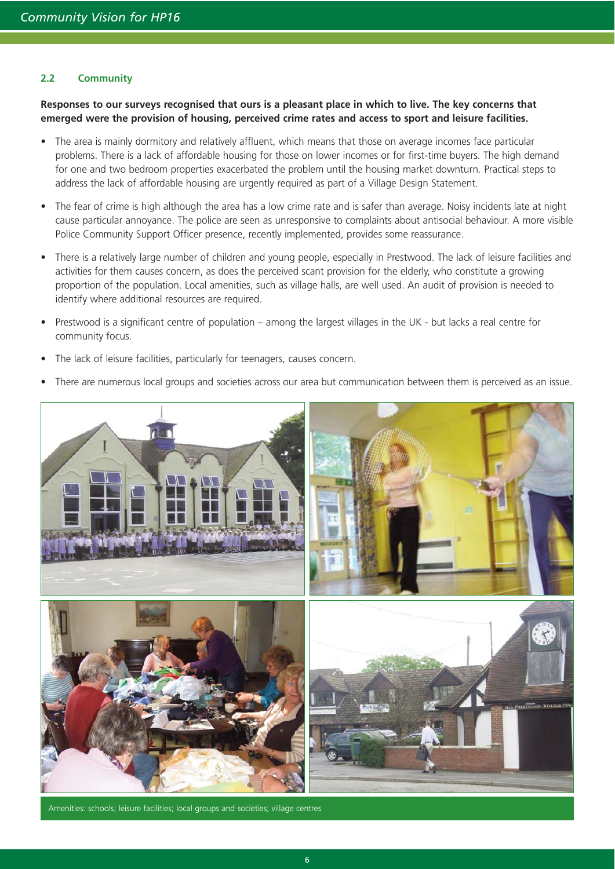## **2.2 Community**

**Responses to our surveys recognised that ours is a pleasant place in which to live. The key concerns that emerged were the provision of housing, perceived crime rates and access to sport and leisure facilities.** 

- The area is mainly dormitory and relatively affluent, which means that those on average incomes face particular problems. There is a lack of affordable housing for those on lower incomes or for first-time buyers. The high demand for one and two bedroom properties exacerbated the problem until the housing market downturn. Practical steps to address the lack of affordable housing are urgently required as part of a Village Design Statement.
- The fear of crime is high although the area has a low crime rate and is safer than average. Noisy incidents late at night cause particular annoyance. The police are seen as unresponsive to complaints about antisocial behaviour. A more visible Police Community Support Officer presence, recently implemented, provides some reassurance.
- There is a relatively large number of children and young people, especially in Prestwood. The lack of leisure facilities and activities for them causes concern, as does the perceived scant provision for the elderly, who constitute a growing proportion of the population. Local amenities, such as village halls, are well used. An audit of provision is needed to identify where additional resources are required.
- Prestwood is a significant centre of population among the largest villages in the UK but lacks a real centre for community focus.
- The lack of leisure facilities, particularly for teenagers, causes concern.
- There are numerous local groups and societies across our area but communication between them is perceived as an issue.



Amenities: schools; leisure facilities; local groups and societies; village centres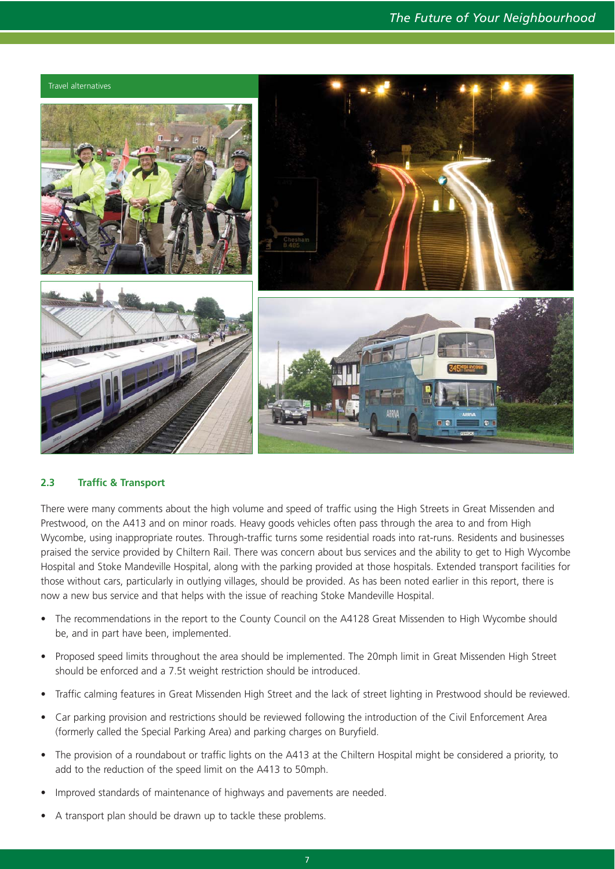

## **2.3 Traffic & Transport**

There were many comments about the high volume and speed of traffic using the High Streets in Great Missenden and Prestwood, on the A413 and on minor roads. Heavy goods vehicles often pass through the area to and from High Wycombe, using inappropriate routes. Through-traffic turns some residential roads into rat-runs. Residents and businesses praised the service provided by Chiltern Rail. There was concern about bus services and the ability to get to High Wycombe Hospital and Stoke Mandeville Hospital, along with the parking provided at those hospitals. Extended transport facilities for those without cars, particularly in outlying villages, should be provided. As has been noted earlier in this report, there is now a new bus service and that helps with the issue of reaching Stoke Mandeville Hospital.

- The recommendations in the report to the County Council on the A4128 Great Missenden to High Wycombe should be, and in part have been, implemented.
- Proposed speed limits throughout the area should be implemented. The 20mph limit in Great Missenden High Street should be enforced and a 7.5t weight restriction should be introduced.
- Traffic calming features in Great Missenden High Street and the lack of street lighting in Prestwood should be reviewed.
- Car parking provision and restrictions should be reviewed following the introduction of the Civil Enforcement Area (formerly called the Special Parking Area) and parking charges on Buryfield.
- The provision of a roundabout or traffic lights on the A413 at the Chiltern Hospital might be considered a priority, to add to the reduction of the speed limit on the A413 to 50mph.
- Improved standards of maintenance of highways and pavements are needed.
- A transport plan should be drawn up to tackle these problems.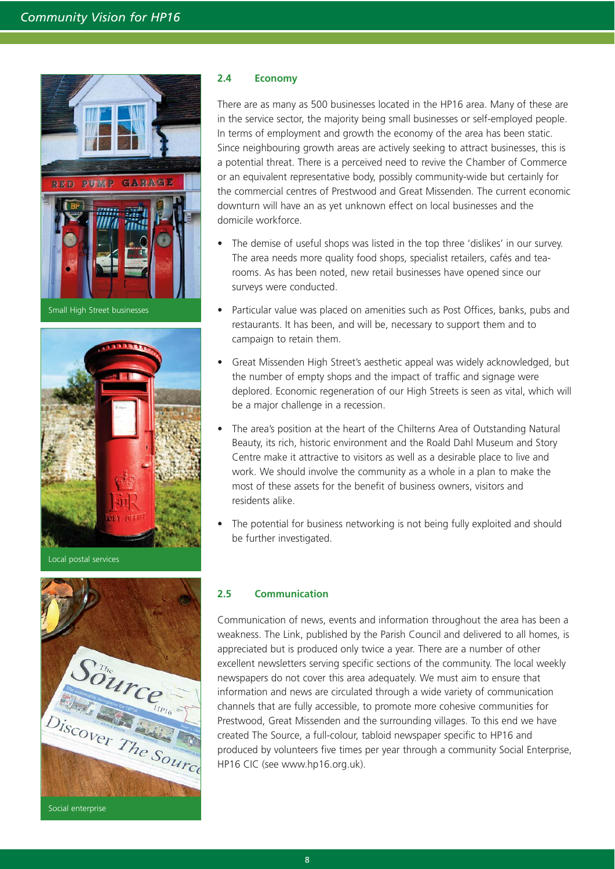

Small High Street businesses



Local postal services



### **2.4 Economy**

There are as many as 500 businesses located in the HP16 area. Many of these are in the service sector, the majority being small businesses or self-employed people. In terms of employment and growth the economy of the area has been static. Since neighbouring growth areas are actively seeking to attract businesses, this is a potential threat. There is a perceived need to revive the Chamber of Commerce or an equivalent representative body, possibly community-wide but certainly for the commercial centres of Prestwood and Great Missenden. The current economic downturn will have an as yet unknown effect on local businesses and the domicile workforce.

- The demise of useful shops was listed in the top three 'dislikes' in our survey. The area needs more quality food shops, specialist retailers, cafés and tearooms. As has been noted, new retail businesses have opened since our surveys were conducted.
- Particular value was placed on amenities such as Post Offices, banks, pubs and restaurants. It has been, and will be, necessary to support them and to campaign to retain them.
- Great Missenden High Street's aesthetic appeal was widely acknowledged, but the number of empty shops and the impact of traffic and signage were deplored. Economic regeneration of our High Streets is seen as vital, which will be a major challenge in a recession.
- The area's position at the heart of the Chilterns Area of Outstanding Natural Beauty, its rich, historic environment and the Roald Dahl Museum and Story Centre make it attractive to visitors as well as a desirable place to live and work. We should involve the community as a whole in a plan to make the most of these assets for the benefit of business owners, visitors and residents alike.
- The potential for business networking is not being fully exploited and should be further investigated.

## **2.5 Communication**

Communication of news, events and information throughout the area has been a weakness. The Link, published by the Parish Council and delivered to all homes, is appreciated but is produced only twice a year. There are a number of other excellent newsletters serving specific sections of the community. The local weekly newspapers do not cover this area adequately. We must aim to ensure that information and news are circulated through a wide variety of communication channels that are fully accessible, to promote more cohesive communities for Prestwood, Great Missenden and the surrounding villages. To this end we have created The Source, a full-colour, tabloid newspaper specific to HP16 and produced by volunteers five times per year through a community Social Enterprise, HP16 CIC (see www.hp16.org.uk).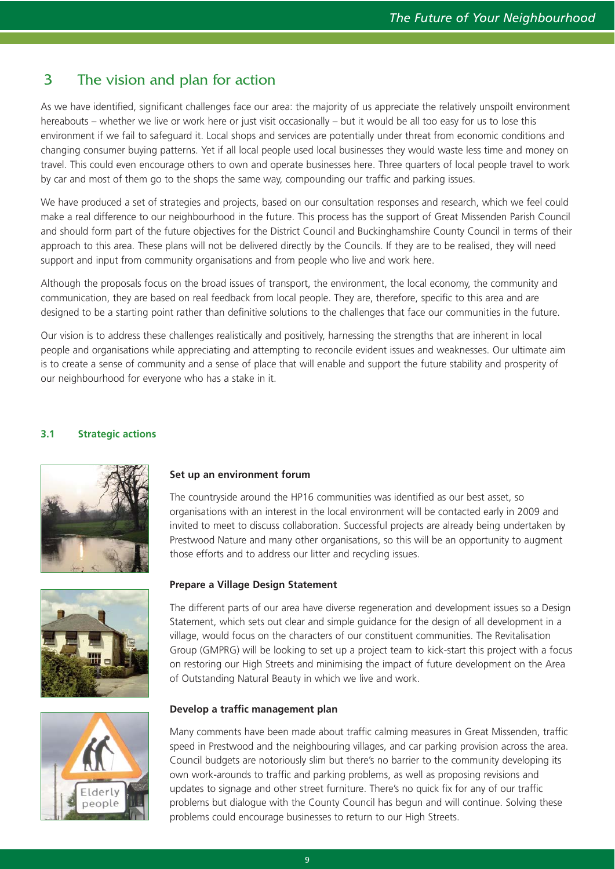## 3 The vision and plan for action

As we have identified, significant challenges face our area: the majority of us appreciate the relatively unspoilt environment hereabouts – whether we live or work here or just visit occasionally – but it would be all too easy for us to lose this environment if we fail to safeguard it. Local shops and services are potentially under threat from economic conditions and changing consumer buying patterns. Yet if all local people used local businesses they would waste less time and money on travel. This could even encourage others to own and operate businesses here. Three quarters of local people travel to work by car and most of them go to the shops the same way, compounding our traffic and parking issues.

We have produced a set of strategies and projects, based on our consultation responses and research, which we feel could make a real difference to our neighbourhood in the future. This process has the support of Great Missenden Parish Council and should form part of the future objectives for the District Council and Buckinghamshire County Council in terms of their approach to this area. These plans will not be delivered directly by the Councils. If they are to be realised, they will need support and input from community organisations and from people who live and work here.

Although the proposals focus on the broad issues of transport, the environment, the local economy, the community and communication, they are based on real feedback from local people. They are, therefore, specific to this area and are designed to be a starting point rather than definitive solutions to the challenges that face our communities in the future.

Our vision is to address these challenges realistically and positively, harnessing the strengths that are inherent in local people and organisations while appreciating and attempting to reconcile evident issues and weaknesses. Our ultimate aim is to create a sense of community and a sense of place that will enable and support the future stability and prosperity of our neighbourhood for everyone who has a stake in it.

## **3.1 Strategic actions**







## **Set up an environment forum**

The countryside around the HP16 communities was identified as our best asset, so organisations with an interest in the local environment will be contacted early in 2009 and invited to meet to discuss collaboration. Successful projects are already being undertaken by Prestwood Nature and many other organisations, so this will be an opportunity to augment those efforts and to address our litter and recycling issues.

## **Prepare a Village Design Statement**

The different parts of our area have diverse regeneration and development issues so a Design Statement, which sets out clear and simple guidance for the design of all development in a village, would focus on the characters of our constituent communities. The Revitalisation Group (GMPRG) will be looking to set up a project team to kick-start this project with a focus on restoring our High Streets and minimising the impact of future development on the Area of Outstanding Natural Beauty in which we live and work.

## **Develop a traffic management plan**

Many comments have been made about traffic calming measures in Great Missenden, traffic speed in Prestwood and the neighbouring villages, and car parking provision across the area. Council budgets are notoriously slim but there's no barrier to the community developing its own work-arounds to traffic and parking problems, as well as proposing revisions and updates to signage and other street furniture. There's no quick fix for any of our traffic problems but dialogue with the County Council has begun and will continue. Solving these problems could encourage businesses to return to our High Streets.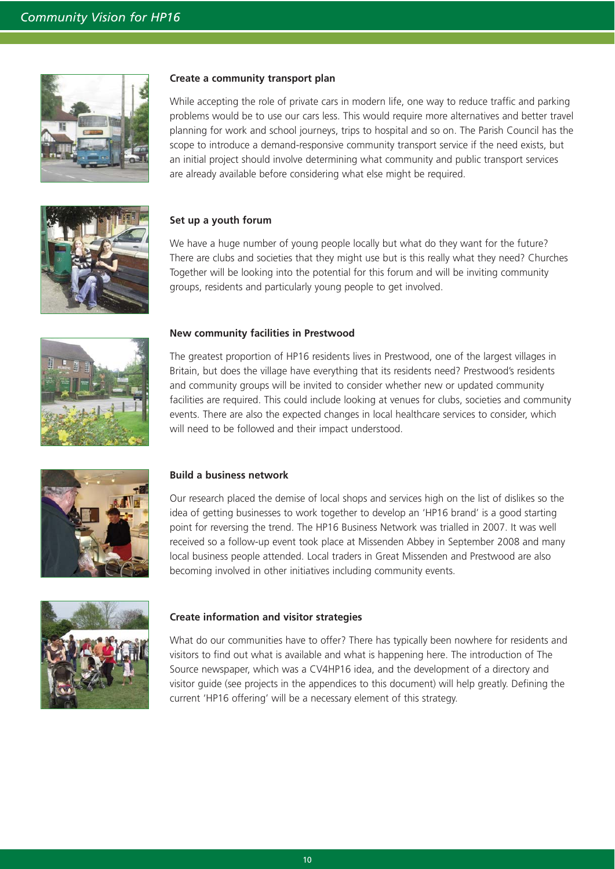

#### **Create a community transport plan**

While accepting the role of private cars in modern life, one way to reduce traffic and parking problems would be to use our cars less. This would require more alternatives and better travel planning for work and school journeys, trips to hospital and so on. The Parish Council has the scope to introduce a demand-responsive community transport service if the need exists, but an initial project should involve determining what community and public transport services are already available before considering what else might be required.



## **Set up a youth forum**

We have a huge number of young people locally but what do they want for the future? There are clubs and societies that they might use but is this really what they need? Churches Together will be looking into the potential for this forum and will be inviting community groups, residents and particularly young people to get involved.



#### **New community facilities in Prestwood**

The greatest proportion of HP16 residents lives in Prestwood, one of the largest villages in Britain, but does the village have everything that its residents need? Prestwood's residents and community groups will be invited to consider whether new or updated community facilities are required. This could include looking at venues for clubs, societies and community events. There are also the expected changes in local healthcare services to consider, which will need to be followed and their impact understood.



#### **Build a business network**

Our research placed the demise of local shops and services high on the list of dislikes so the idea of getting businesses to work together to develop an 'HP16 brand' is a good starting point for reversing the trend. The HP16 Business Network was trialled in 2007. It was well received so a follow-up event took place at Missenden Abbey in September 2008 and many local business people attended. Local traders in Great Missenden and Prestwood are also becoming involved in other initiatives including community events.



#### **Create information and visitor strategies**

What do our communities have to offer? There has typically been nowhere for residents and visitors to find out what is available and what is happening here. The introduction of The Source newspaper, which was a CV4HP16 idea, and the development of a directory and visitor guide (see projects in the appendices to this document) will help greatly. Defining the current 'HP16 offering' will be a necessary element of this strategy.